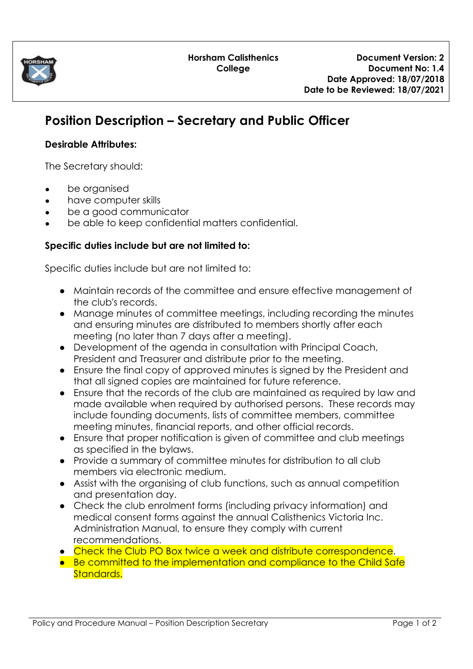

# **Position Description – Secretary and Public Officer**

# **Desirable Attributes:**

The Secretary should:

- **●** be organised
- **●** have computer skills
- **●** be a good communicator
- **●** be able to keep confidential matters confidential.

# **Specific duties include but are not limited to:**

Specific duties include but are not limited to:

- Maintain records of the committee and ensure effective management of the club's records.
- Manage minutes of committee meetings, including recording the minutes and ensuring minutes are distributed to members shortly after each meeting (no later than 7 days after a meeting).
- Development of the agenda in consultation with Principal Coach, President and Treasurer and distribute prior to the meeting.
- Ensure the final copy of approved minutes is signed by the President and that all signed copies are maintained for future reference.
- Ensure that the records of the club are maintained as required by law and made available when required by authorised persons. These records may include founding documents, lists of committee members, committee meeting minutes, financial reports, and other official records.
- Ensure that proper notification is given of committee and club meetings as specified in the bylaws.
- Provide a summary of committee minutes for distribution to all club members via electronic medium.
- Assist with the organising of club functions, such as annual competition and presentation day.
- Check the club enrolment forms (including privacy information) and medical consent forms against the annual Calisthenics Victoria Inc. Administration Manual, to ensure they comply with current recommendations.
- Check the Club PO Box twice a week and distribute correspondence.
- Be committed to the implementation and compliance to the Child Safe Standards.